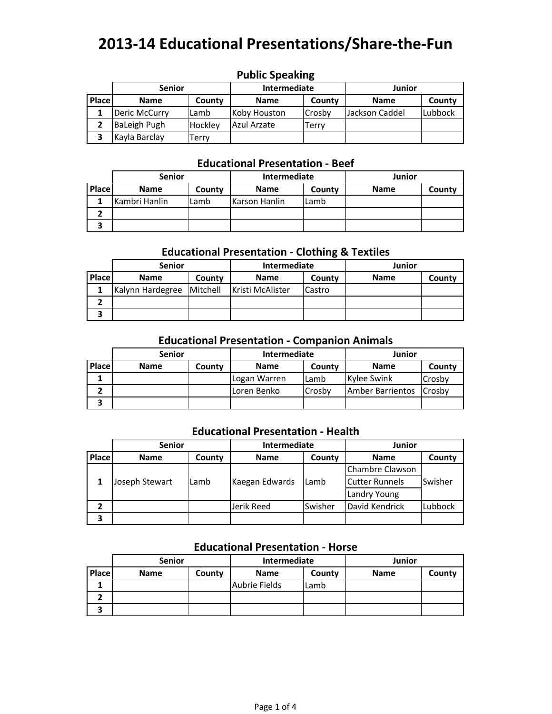|       | <b>Senior</b>       |         | <b>Intermediate</b> |                | Junior         |         |  |  |  |
|-------|---------------------|---------|---------------------|----------------|----------------|---------|--|--|--|
| Place | <b>Name</b>         | County  | <b>Name</b>         | County         | <b>Name</b>    | County  |  |  |  |
|       | Deric McCurry       | Lamb    | Koby Houston        | <b>ICrosby</b> | Jackson Caddel | Lubbock |  |  |  |
|       | <b>BaLeigh Pugh</b> | Hockley | Azul Arzate         | Terrv          |                |         |  |  |  |
|       | Kayla Barclay       | Terrv   |                     |                |                |         |  |  |  |

## **Public Speaking**

#### **Educational Presentation ‐ Beef**

|       | <b>Senior</b> |        | Intermediate  |        | Junior      |        |
|-------|---------------|--------|---------------|--------|-------------|--------|
| Place | <b>Name</b>   | County | <b>Name</b>   | County | <b>Name</b> | County |
|       | Kambri Hanlin | Lamb   | Karson Hanlin | Lamb   |             |        |
|       |               |        |               |        |             |        |
|       |               |        |               |        |             |        |

## **Educational Presentation ‐ Clothing & Textiles**

|       | <b>Senior</b>             |        | Intermediate            |        | Junior      |        |
|-------|---------------------------|--------|-------------------------|--------|-------------|--------|
| Place | <b>Name</b>               | County | <b>Name</b>             | County | <b>Name</b> | County |
|       | Kalynn Hardegree Mitchell |        | <b>Kristi McAlister</b> | Castro |             |        |
|       |                           |        |                         |        |             |        |
|       |                           |        |                         |        |             |        |

## **Educational Presentation ‐ Companion Animals**

|              | <b>Senior</b> |        | Intermediate |               | Junior                  |               |
|--------------|---------------|--------|--------------|---------------|-------------------------|---------------|
| <b>Place</b> | <b>Name</b>   | County | <b>Name</b>  | County        | <b>Name</b>             | County        |
|              |               |        | Logan Warren | Lamb          | Kylee Swink             | Crosby        |
|              |               |        | Loren Benko  | <b>Crosby</b> | <b>Amber Barrientos</b> | <b>Crosby</b> |
|              |               |        |              |               |                         |               |

#### **Educational Presentation ‐ Health**

|       | <b>Senior</b>  |        | Intermediate   |         | Junior                |         |
|-------|----------------|--------|----------------|---------|-----------------------|---------|
| Place | <b>Name</b>    | County | <b>Name</b>    | County  | <b>Name</b>           | County  |
|       |                |        |                |         | Chambre Clawson       |         |
|       | Joseph Stewart | Lamb   | Kaegan Edwards | Lamb    | <b>Cutter Runnels</b> | Swisher |
|       |                |        |                |         | Landry Young          |         |
| 2     |                |        | Jerik Reed     | Swisher | David Kendrick        | Lubbock |
| 3     |                |        |                |         |                       |         |

## **Educational Presentation ‐ Horse**

|       | <b>Senior</b> |        | Intermediate  |        | Junior      |        |
|-------|---------------|--------|---------------|--------|-------------|--------|
| Place | <b>Name</b>   | County | <b>Name</b>   | County | <b>Name</b> | County |
|       |               |        | Aubrie Fields | Lamb   |             |        |
|       |               |        |               |        |             |        |
|       |               |        |               |        |             |        |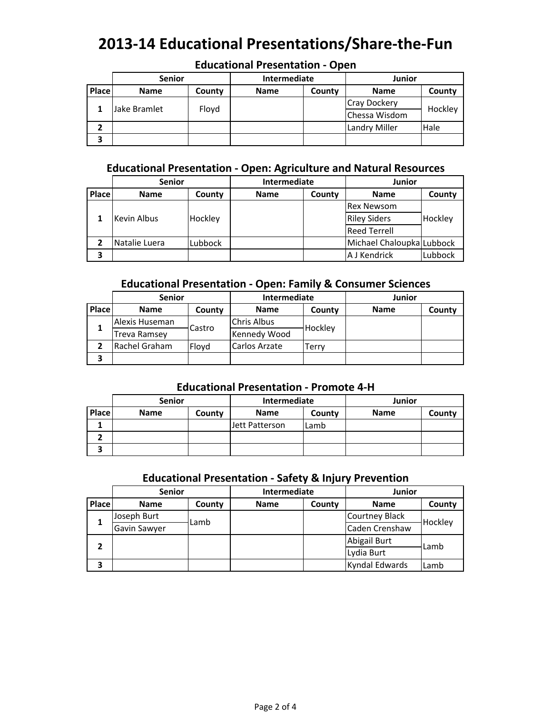|              | <b>Senior</b> |        | Intermediate |                     | Junior        |        |
|--------------|---------------|--------|--------------|---------------------|---------------|--------|
| <b>Place</b> | <b>Name</b>   | County | <b>Name</b>  | County              | <b>Name</b>   | County |
|              | Floyd         |        |              | <b>Cray Dockery</b> | Hockley       |        |
|              | Jake Bramlet  |        |              |                     | Chessa Wisdom |        |
|              |               |        |              |                     | Landry Miller | Hale   |
| 3            |               |        |              |                     |               |        |

## **Educational Presentation ‐ Open**

## **Educational Presentation ‐ Open: Agriculture and Natural Resources**

|       | <b>Senior</b> |         | Intermediate |        | Junior                    |         |
|-------|---------------|---------|--------------|--------|---------------------------|---------|
| Place | <b>Name</b>   | County  | <b>Name</b>  | County | <b>Name</b>               | County  |
|       |               |         |              |        | <b>Rex Newsom</b>         |         |
|       | Kevin Albus   | Hockley |              |        | <b>Riley Siders</b>       | Hockley |
|       |               |         |              |        | <b>Reed Terrell</b>       |         |
|       | Natalie Luera | Lubbock |              |        | Michael Chaloupka Lubbock |         |
| 3     |               |         |              |        | A J Kendrick              | Lubbock |

## **Educational Presentation ‐ Open: Family & Consumer Sciences**

|       | <b>Senior</b>  |        | <b>Intermediate</b> |         | Junior      |        |
|-------|----------------|--------|---------------------|---------|-------------|--------|
| Place | <b>Name</b>    | County | <b>Name</b>         | County  | <b>Name</b> | County |
|       | Alexis Huseman | Castro | <b>Chris Albus</b>  |         |             |        |
|       | Treva Ramsey   |        | Kennedy Wood        | Hockley |             |        |
|       | Rachel Graham  | Flovd  | Carlos Arzate       | Terrv   |             |        |
| 3     |                |        |                     |         |             |        |

### **Educational Presentation ‐ Promote 4‐H**

|              | <b>Senior</b> |        | Intermediate   |        | Junior      |        |
|--------------|---------------|--------|----------------|--------|-------------|--------|
| <b>Place</b> | <b>Name</b>   | County | <b>Name</b>    | County | <b>Name</b> | County |
|              |               |        | Jett Patterson | Lamb   |             |        |
|              |               |        |                |        |             |        |
|              |               |        |                |        |             |        |

## **Educational Presentation ‐ Safety & Injury Prevention**

|       | <b>Senior</b> |        | Intermediate |        | Junior                |         |
|-------|---------------|--------|--------------|--------|-----------------------|---------|
| Place | <b>Name</b>   | County | <b>Name</b>  | County | <b>Name</b>           | County  |
|       | Joseph Burt   | Lamb   |              |        | <b>Courtney Black</b> |         |
|       | Gavin Sawyer  |        |              |        | Caden Crenshaw        | Hockley |
|       |               |        |              |        | Abigail Burt          | Lamb    |
|       |               |        |              |        | Lydia Burt            |         |
| 3     |               |        |              |        | Kyndal Edwards        | Lamb    |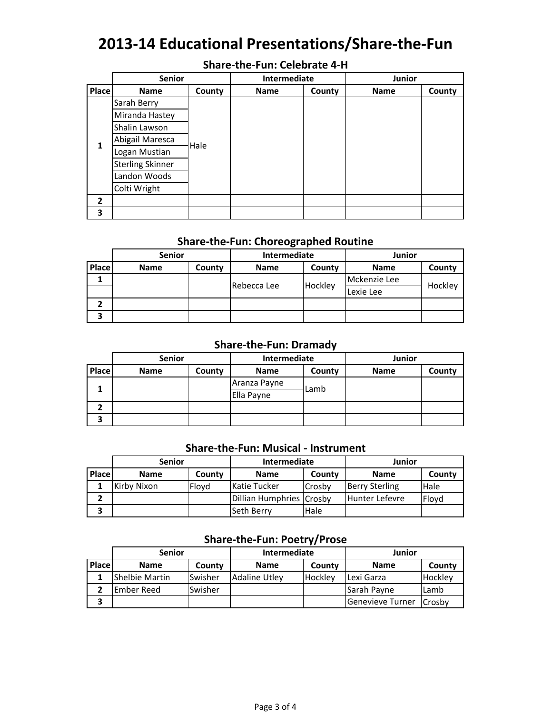## **Share‐the‐Fun: Celebrate 4‐H**

|                | <b>Senior</b>           |        | Intermediate |        | <b>Junior</b> |        |
|----------------|-------------------------|--------|--------------|--------|---------------|--------|
| Place          | <b>Name</b>             | County | <b>Name</b>  | County | <b>Name</b>   | County |
|                | Sarah Berry             |        |              |        |               |        |
|                | Miranda Hastey          |        |              |        |               |        |
|                | Shalin Lawson           | Hale   |              |        |               |        |
| 1              | Abigail Maresca         |        |              |        |               |        |
|                | Logan Mustian           |        |              |        |               |        |
|                | <b>Sterling Skinner</b> |        |              |        |               |        |
|                | Landon Woods            |        |              |        |               |        |
|                | Colti Wright            |        |              |        |               |        |
| $\overline{2}$ |                         |        |              |        |               |        |
| 3              |                         |        |              |        |               |        |

#### **Share‐the‐Fun: Choreographed Routine**

|              | <b>Senior</b> |        | Intermediate |         | Junior       |         |
|--------------|---------------|--------|--------------|---------|--------------|---------|
| <b>Place</b> | <b>Name</b>   | County | <b>Name</b>  | County  | <b>Name</b>  | County  |
|              |               |        | Rebecca Lee  | Hockley | Mckenzie Lee | Hockley |
|              |               |        |              |         | Lexie Lee    |         |
|              |               |        |              |         |              |         |
| 3            |               |        |              |         |              |         |

## **Share‐the‐Fun: Dramady**

|       | <b>Senior</b> |        | Intermediate |        | Junior      |        |
|-------|---------------|--------|--------------|--------|-------------|--------|
| Place | <b>Name</b>   | County | <b>Name</b>  | County | <b>Name</b> | County |
|       |               |        | Aranza Payne | Lamb   |             |        |
|       |               |        | Ella Payne   |        |             |        |
|       |               |        |              |        |             |        |
| 3     |               |        |              |        |             |        |

## **Share‐the‐Fun: Musical ‐ Instrument**

|       | <b>Senior</b> |        | Intermediate             |        | Junior                |             |
|-------|---------------|--------|--------------------------|--------|-----------------------|-------------|
| Place | <b>Name</b>   | County | <b>Name</b>              | County | <b>Name</b>           | County      |
|       | Kirby Nixon   | Flovd  | <b>Katie Tucker</b>      | Crosby | <b>Berry Sterling</b> | <b>Hale</b> |
|       |               |        | Dillian Humphries Crosby |        | <b>Hunter Lefevre</b> | Flovd       |
|       |               |        | <b>Seth Berry</b>        | Hale   |                       |             |

## **Share‐the‐Fun: Poetry/Prose**

|              | <b>Senior</b>  |         | Intermediate         |         | Junior           |                |
|--------------|----------------|---------|----------------------|---------|------------------|----------------|
| <b>Place</b> | <b>Name</b>    | County  | <b>Name</b>          | County  | <b>Name</b>      | County         |
|              | Shelbie Martin | Swisher | <b>Adaline Utley</b> | Hockley | Lexi Garza       | <b>Hockley</b> |
|              | Ember Reed     | Swisher |                      |         | Sarah Payne      | Lamb           |
| 3            |                |         |                      |         | Genevieve Turner | <b>Crosby</b>  |